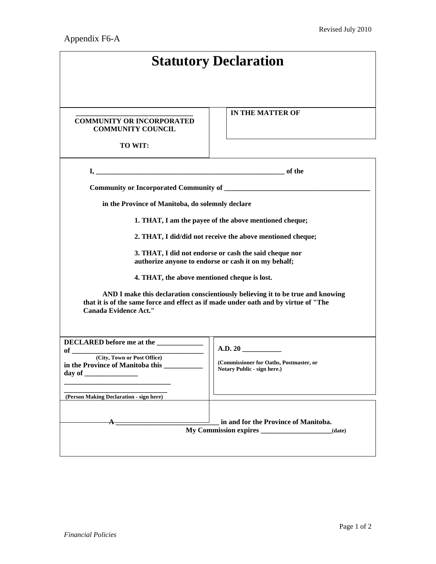| <b>Statutory Declaration</b>                                                                                                                                                                           |                                                                                   |  |
|--------------------------------------------------------------------------------------------------------------------------------------------------------------------------------------------------------|-----------------------------------------------------------------------------------|--|
|                                                                                                                                                                                                        |                                                                                   |  |
| <b>COMMUNITY OR INCORPORATED</b><br><b>COMMUNITY COUNCIL</b><br>TO WIT:                                                                                                                                | IN THE MATTER OF                                                                  |  |
|                                                                                                                                                                                                        |                                                                                   |  |
| Community or Incorporated Community of ____________                                                                                                                                                    |                                                                                   |  |
| in the Province of Manitoba, do solemnly declare                                                                                                                                                       |                                                                                   |  |
| 1. THAT, I am the payee of the above mentioned cheque;                                                                                                                                                 |                                                                                   |  |
| 2. THAT, I did/did not receive the above mentioned cheque;                                                                                                                                             |                                                                                   |  |
| 3. THAT, I did not endorse or cash the said cheque nor<br>authorize anyone to endorse or cash it on my behalf;                                                                                         |                                                                                   |  |
| 4. THAT, the above mentioned cheque is lost.                                                                                                                                                           |                                                                                   |  |
| AND I make this declaration conscientiously believing it to be true and knowing<br>that it is of the same force and effect as if made under oath and by virtue of "The<br><b>Canada Evidence Act."</b> |                                                                                   |  |
| <b>DECLARED</b> before me at the<br><b>of</b><br>(City, Town or Post Office)<br>in the Province of Manitoba this<br>day of $\overline{\phantom{a}}$                                                    | A.D. 20<br>(Commissioner for Oaths, Postmaster, or<br>Notary Public - sign here.) |  |
| (Person Making Declaration - sign here)                                                                                                                                                                |                                                                                   |  |
|                                                                                                                                                                                                        | in and for the Province of Manitoba.<br>(date)                                    |  |